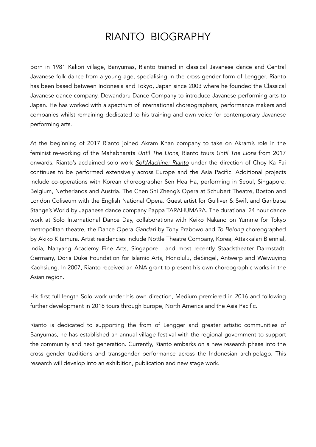# RIANTO BIOGRAPHY

Born in 1981 Kaliori village, Banyumas, Rianto trained in classical Javanese dance and Central Javanese folk dance from a young age, specialising in the cross gender form of Lengger. Rianto has been based between Indonesia and Tokyo, Japan since 2003 where he founded the Classical Javanese dance company, Dewandaru Dance Company to introduce Javanese performing arts to Japan. He has worked with a spectrum of international choreographers, performance makers and companies whilst remaining dedicated to his training and own voice for contemporary Javanese performing arts.

At the beginning of 2017 Rianto joined Akram Khan company to take on Akram's role in the feminist re-working of the Mahabharata *[Until The Lions](https://www.youtube.com/watch?v=SYDl2g039I8)*, Rianto tours *Until The Lions* from 2017 onwards. Rianto's acclaimed solo work *[SoftMachine: Rianto](https://vimeo.com/80039428)* under the direction of Choy Ka Fai continues to be performed extensively across Europe and the Asia Pacific. Additional projects include co-operations with Korean choreographer Sen Hea Ha, performing in Seoul, Singapore, Belgium, Netherlands and Austria. The Chen Shi Zheng's Opera at Schubert Theatre, Boston and London Coliseum with the English National Opera. Guest artist for Gulliver & Swift and Garibaba Stange's World by Japanese dance company Pappa TARAHUMARA. The durational 24 hour dance work at Solo International Dance Day, collaborations with Keiko Nakano on Yumme for Tokyo metropolitan theatre, the Dance Opera *Gandari* by Tony Prabowo and *To Belong* choreographed by Akiko Kitamura. Artist residencies include Nottle Theatre Company, Korea, Attakkalari Biennial, India, Nanyang Academy Fine Arts, Singapore and most recently Staadstheater Darmstadt, Germany, Doris Duke Foundation for Islamic Arts, Honolulu, deSingel, Antwerp and Weiwuying Kaohsiung. In 2007, Rianto received an ANA grant to present his own choreographic works in the Asian region.

His first full length Solo work under his own direction, Medium premiered in 2016 and following further development in 2018 tours through Europe, North America and the Asia Pacific.

Rianto is dedicated to supporting the from of Lengger and greater artistic communities of Banyumas, he has established an annual village festival with the regional government to support the community and next generation. Currently, Rianto embarks on a new research phase into the cross gender traditions and transgender performance across the Indonesian archipelago. This research will develop into an exhibition, publication and new stage work.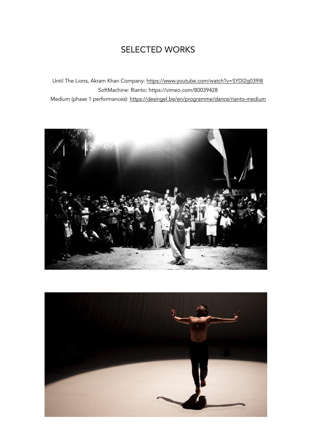# SELECTED WORKS

Until The Lions, Akram Khan Company: <https://www.youtube.com/watch?v=SYDl2g039I8> SoftMachine: Rianto: https://vimeo.com/80039428 Medium (phase 1 performances):<https://desingel.be/en/programme/dance/rianto-medium>



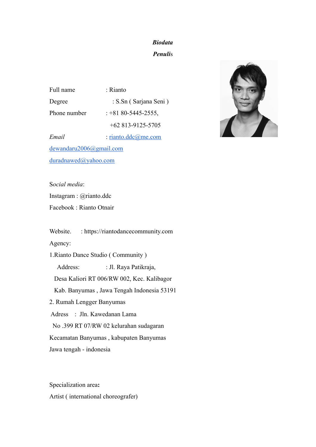# *Biodata Penuli*s

Full name : Rianto Degree : S.Sn ( Sarjana Seni ) Phone number : +81 80-5445-2555, +62 813-9125-5705

*Email* : [rianto.ddc@me.com](mailto:rianto.ddc@me.com) [dewandaru2006@gmail.com](mailto:dewandaru2006@gmail.com) [duradnawed@yahoo.com](mailto:duradnawed@yahoo.com)

S*ocial media*:

Instagram : @rianto.ddc

Facebook : Rianto Otnair

Website. : https://riantodancecommunity.com

Agency:

1.Rianto Dance Studio ( Community )

Address: : Jl. Raya Patikraja,

Desa Kaliori RT 006/RW 002, Kec. Kalibagor

Kab. Banyumas , Jawa Tengah Indonesia 53191

2. Rumah Lengger Banyumas

Adress : Jln. Kawedanan Lama

No .399 RT 07/RW 02 kelurahan sudagaran

Kecamatan Banyumas , kabupaten Banyumas

Jawa tengah - indonesia

Specialization area**:**  Artist ( international choreografer)

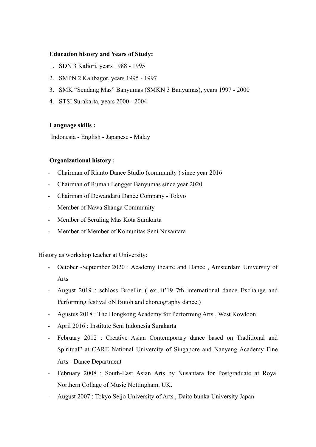# **Education history and Years of Study:**

- 1. SDN 3 Kaliori, years 1988 1995
- 2. SMPN 2 Kalibagor, years 1995 1997
- 3. SMK "Sendang Mas" Banyumas (SMKN 3 Banyumas), years 1997 2000
- 4. STSI Surakarta, years 2000 2004

# **Language skills :**

Indonesia - English - Japanese - Malay

# **Organizational history :**

- Chairman of Rianto Dance Studio (community ) since year 2016
- Chairman of Rumah Lengger Banyumas since year 2020
- Chairman of Dewandaru Dance Company Tokyo
- Member of Nawa Shanga Community
- Member of Seruling Mas Kota Surakarta
- Member of Member of Komunitas Seni Nusantara

History as workshop teacher at University:

- October -September 2020 : Academy theatre and Dance , Amsterdam University of Arts
- August 2019 : schloss Broellin ( ex...it'19 7th international dance Exchange and Performing festival oN Butoh and choreography dance )
- Agustus 2018 : The Hongkong Academy for Performing Arts , West Kowloon
- April 2016 : Institute Seni Indonesia Surakarta
- February 2012 : Creative Asian Contemporary dance based on Traditional and Spiritual" at CARE National Univercity of Singapore and Nanyang Academy Fine Arts - Dance Department
- February 2008 : South-East Asian Arts by Nusantara for Postgraduate at Royal Northern Collage of Music Nottingham, UK.
- August 2007 : Tokyo Seijo University of Arts , Daito bunka University Japan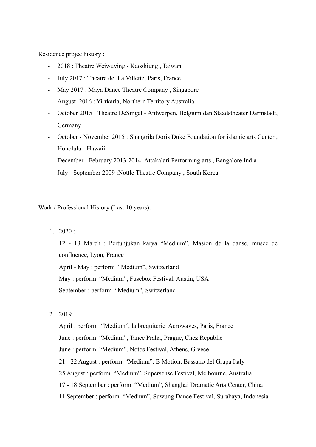Residence projec history :

- 2018 : Theatre Weiwuying Kaoshiung , Taiwan
- July 2017 : Theatre de La Villette, Paris, France
- May 2017 : Maya Dance Theatre Company , Singapore
- August 2016 : Yirrkarla, Northern Territory Australia
- October 2015 : Theatre DeSingel Antwerpen, Belgium dan Staadstheater Darmstadt, Germany
- October November 2015 : Shangrila Doris Duke Foundation for islamic arts Center , Honolulu - Hawaii
- December February 2013-2014: Attakalari Performing arts , Bangalore India
- July September 2009 :Nottle Theatre Company , South Korea

Work / Professional History (Last 10 years):

 $1.2020:$ 

12 - 13 March : Pertunjukan karya "Medium", Masion de la danse, musee de confluence, Lyon, France

April - May : perform "Medium", Switzerland May : perform "Medium", Fusebox Festival, Austin, USA September : perform "Medium", Switzerland

2. 2019

April : perform "Medium", la brequiterie Aerowaves, Paris, France June : perform "Medium", Tanec Praha, Prague, Chez Republic June : perform "Medium", Notos Festival, Athens, Greece 21 - 22 August : perform "Medium", B Motion, Bassano del Grapa Italy 25 August : perform "Medium", Supersense Festival, Melbourne, Australia 17 - 18 September : perform "Medium", Shanghai Dramatic Arts Center, China 11 September : perform "Medium", Suwung Dance Festival, Surabaya, Indonesia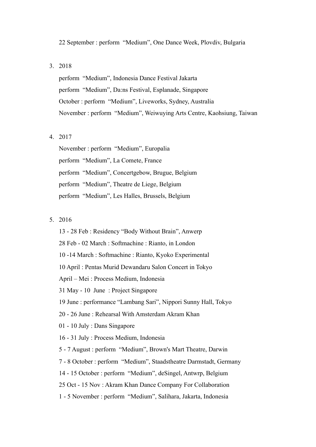#### 22 September : perform "Medium", One Dance Week, Plovdiv, Bulgaria

#### 3. 2018

perform "Medium", Indonesia Dance Festival Jakarta perform "Medium", Da:ns Festival, Esplanade, Singapore October : perform "Medium", Liveworks, Sydney, Australia November : perform "Medium", Weiwuying Arts Centre, Kaohsiung, Taiwan

# 4. 2017

November : perform "Medium", Europalia perform "Medium", La Comete, France perform "Medium", Concertgebow, Brugue, Belgium perform "Medium", Theatre de Liege, Belgium perform "Medium", Les Halles, Brussels, Belgium

# 5. 2016

13 - 28 Feb : Residency "Body Without Brain", Anwerp 28 Feb - 02 March : Softmachine : Rianto, in London 10 -14 March : Softmachine : Rianto, Kyoko Experimental 10 April : Pentas Murid Dewandaru Salon Concert in Tokyo April – Mei : Process Medium, Indonesia 31 May - 10 June : Project Singapore 19 June : performance "Lambang Sari", Nippori Sunny Hall, Tokyo 20 - 26 June : Rehearsal With Amsterdam Akram Khan 01 - 10 July : Dans Singapore 16 - 31 July : Process Medium, Indonesia 5 - 7 August : perform "Medium", Brown's Mart Theatre, Darwin 7 - 8 October : perform "Medium", Staadstheatre Darmstadt, Germany 14 - 15 October : perform "Medium", deSingel, Antwrp, Belgium 25 Oct - 15 Nov : Akram Khan Dance Company For Collaboration 1 - 5 November : perform "Medium", Salihara, Jakarta, Indonesia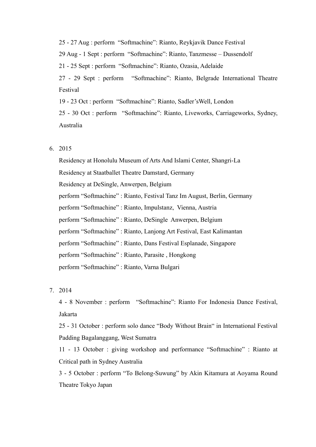25 - 27 Aug : perform "Softmachine": Rianto, Reykjavik Dance Festival 29 Aug - 1 Sept : perform "Softmachine": Rianto, Tanzmesse – Dussendolf 21 - 25 Sept : perform "Softmachine": Rianto, Ozasia, Adelaide 27 - 29 Sept : perform "Softmachine": Rianto, Belgrade International Theatre Festival 19 - 23 Oct : perform "Softmachine": Rianto, Sadler'sWell, London 25 - 30 Oct : perform "Softmachine": Rianto, Liveworks, Carriageworks, Sydney, Australia

### 6. 2015

Residency at Honolulu Museum of Arts And Islami Center, Shangri-La Residency at Staatballet Theatre Damstard, Germany Residency at DeSingle, Anwerpen, Belgium perform "Softmachine" : Rianto, Festival Tanz Im August, Berlin, Germany perform "Softmachine" : Rianto, Impulstanz, Vienna, Austria perform "Softmachine" : Rianto, DeSingle Anwerpen, Belgium perform "Softmachine" : Rianto, Lanjong Art Festival, East Kalimantan perform "Softmachine" : Rianto, Dans Festival Esplanade, Singapore perform "Softmachine" : Rianto, Parasite , Hongkong perform "Softmachine" : Rianto, Varna Bulgari

# 7. 2014

4 - 8 November : perform "Softmachine": Rianto For Indonesia Dance Festival, Jakarta

25 - 31 October : perform solo dance "Body Without Brain" in International Festival Padding Bagalanggang, West Sumatra

11 - 13 October : giving workshop and performance "Softmachine" : Rianto at Critical path in Sydney Australia

3 - 5 October : perform "To Belong-Suwung" by Akin Kitamura at Aoyama Round Theatre Tokyo Japan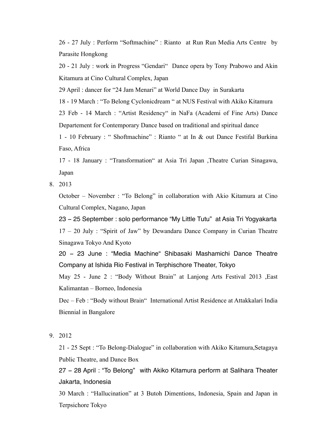26 - 27 July : Perform "Softmachine" : Rianto at Run Run Media Arts Centre by Parasite Hongkong

20 - 21 July : work in Progress "Gendari" Dance opera by Tony Prabowo and Akin Kitamura at Cino Cultural Complex, Japan

29 April : dancer for "24 Jam Menari" at World Dance Day in Surakarta

18 - 19 March : "To Belong Cyclonicdream " at NUS Festival with Akiko Kitamura

23 Feb - 14 March : "Artist Residency" in NaFa (Academi of Fine Arts) Dance Departement for Contemporary Dance based on traditional and spiritual dance

1 - 10 February : " Shoftmachine" : Rianto " at In & out Dance Festifal Burkina Faso, Africa

17 - 18 January : "Transformation" at Asia Tri Japan ,Theatre Curian Sinagawa, Japan

8. 2013

October – November : "To Belong" in collaboration with Akio Kitamura at Cino Cultural Complex, Nagano, Japan

23 − 25 September : solo performance "My Little Tutu" at Asia Tri Yogyakarta 17 – 20 July : "Spirit of Jaw" by Dewandaru Dance Company in Curian Theatre Sinagawa Tokyo And Kyoto

20 − 23 June : "Media Machine" Shibasaki Mashamichi Dance Theatre Company at Ishida Rio Festival in Terphischore Theater, Tokyo

May 25 - June 2 : "Body Without Brain" at Lanjong Arts Festival 2013 ,East Kalimantan – Borneo, Indonesia

Dec – Feb : "Body without Brain" International Artist Residence at Attakkalari India Biennial in Bangalore

9. 2012

21 - 25 Sept : "To Belong-Dialogue" in collaboration with Akiko Kitamura,Setagaya Public Theatre, and Dance Box

27 – 28 April : "To Belong" with Akiko Kitamura perform at Salihara Theater Jakarta, Indonesia

30 March : "Hallucination" at 3 Butoh Dimentions, Indonesia, Spain and Japan in Terpsichore Tokyo